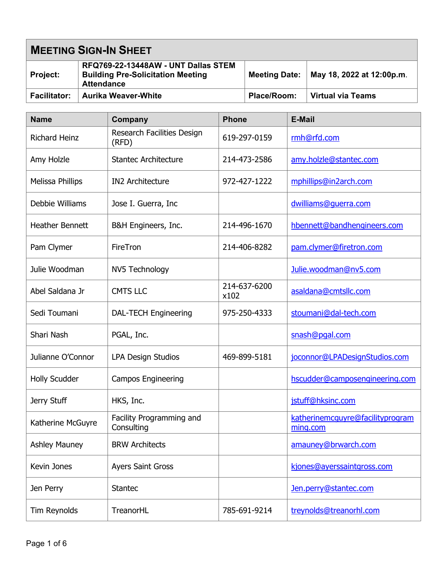| <b>MEETING SIGN-IN SHEET</b> |                                                                                                      |             |                                           |
|------------------------------|------------------------------------------------------------------------------------------------------|-------------|-------------------------------------------|
| <b>Project:</b>              | RFQ769-22-13448AW - UNT Dallas STEM<br><b>Building Pre-Solicitation Meeting</b><br><b>Attendance</b> |             | Meeting Date:   May 18, 2022 at 12:00p.m. |
| <b>Facilitator:</b>          | <b>Aurika Weaver-White</b>                                                                           | Place/Room: | Virtual via Teams                         |

| <b>Name</b>            | Company                                | <b>Phone</b>         | <b>E-Mail</b>                                |
|------------------------|----------------------------------------|----------------------|----------------------------------------------|
| <b>Richard Heinz</b>   | Research Facilities Design<br>(RFD)    | 619-297-0159         | rmh@rfd.com                                  |
| Amy Holzle             | <b>Stantec Architecture</b>            | 214-473-2586         | amy.holzle@stantec.com                       |
| Melissa Phillips       | <b>IN2 Architecture</b>                | 972-427-1222         | mphillips@in2arch.com                        |
| Debbie Williams        | Jose I. Guerra, Inc.                   |                      | dwilliams@querra.com                         |
| <b>Heather Bennett</b> | B&H Engineers, Inc.                    | 214-496-1670         | hbennett@bandhengineers.com                  |
| Pam Clymer             | FireTron                               | 214-406-8282         | pam.clymer@firetron.com                      |
| Julie Woodman          | NV5 Technology                         |                      | Julie.woodman@nv5.com                        |
| Abel Saldana Jr        | <b>CMTS LLC</b>                        | 214-637-6200<br>x102 | asaldana@cmtsllc.com                         |
| Sedi Toumani           | <b>DAL-TECH Engineering</b>            | 975-250-4333         | stoumani@dal-tech.com                        |
| Shari Nash             | PGAL, Inc.                             |                      | snash@pgal.com                               |
| Julianne O'Connor      | <b>LPA Design Studios</b>              | 469-899-5181         | joconnor@LPADesignStudios.com                |
| <b>Holly Scudder</b>   | <b>Campos Engineering</b>              |                      | hscudder@camposengineering.com               |
| Jerry Stuff            | HKS, Inc.                              |                      | jstuff@hksinc.com                            |
| Katherine McGuyre      | Facility Programming and<br>Consulting |                      | katherinemcquyre@facilityprogram<br>ming.com |
| <b>Ashley Mauney</b>   | <b>BRW Architects</b>                  |                      | amauney@brwarch.com                          |
| Kevin Jones            | <b>Ayers Saint Gross</b>               |                      | kjones@ayerssaintgross.com                   |
| Jen Perry              | <b>Stantec</b>                         |                      | Jen.perry@stantec.com                        |
| Tim Reynolds           | TreanorHL                              | 785-691-9214         | treynolds@treanorhl.com                      |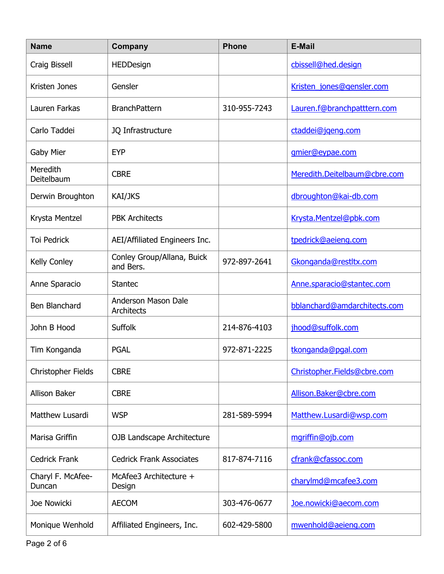| <b>Name</b>                 | Company                                 | <b>Phone</b> | <b>E-Mail</b>                |
|-----------------------------|-----------------------------------------|--------------|------------------------------|
| Craig Bissell               | HEDDesign                               |              | cbissell@hed.design          |
| Kristen Jones               | Gensler                                 |              | Kristen jones@gensler.com    |
| Lauren Farkas               | <b>BranchPattern</b>                    | 310-955-7243 | Lauren.f@branchpatttern.com  |
| Carlo Taddei                | JQ Infrastructure                       |              | ctaddei@jqeng.com            |
| <b>Gaby Mier</b>            | <b>EYP</b>                              |              | gmier@eypae.com              |
| Meredith<br>Deitelbaum      | <b>CBRE</b>                             |              | Meredith.Deitelbaum@cbre.com |
| Derwin Broughton            | KAI/JKS                                 |              | dbroughton@kai-db.com        |
| Krysta Mentzel              | <b>PBK Architects</b>                   |              | Krysta.Mentzel@pbk.com       |
| Toi Pedrick                 | AEI/Affiliated Engineers Inc.           |              | tpedrick@aeieng.com          |
| <b>Kelly Conley</b>         | Conley Group/Allana, Buick<br>and Bers. | 972-897-2641 | Gkonganda@restltx.com        |
| Anne Sparacio               | <b>Stantec</b>                          |              | Anne.sparacio@stantec.com    |
| Ben Blanchard               | Anderson Mason Dale<br>Architects       |              | bblanchard@amdarchitects.com |
| John B Hood                 | Suffolk                                 | 214-876-4103 | jhood@suffolk.com            |
| Tim Konganda                | <b>PGAL</b>                             | 972-871-2225 | tkonganda@pgal.com           |
| Christopher Fields          | <b>CBRE</b>                             |              | Christopher.Fields@cbre.com  |
| <b>Allison Baker</b>        | <b>CBRE</b>                             |              | Allison.Baker@cbre.com       |
| Matthew Lusardi             | <b>WSP</b>                              | 281-589-5994 | Matthew.Lusardi@wsp.com      |
| Marisa Griffin              | OJB Landscape Architecture              |              | mgriffin@ojb.com             |
| <b>Cedrick Frank</b>        | <b>Cedrick Frank Associates</b>         | 817-874-7116 | cfrank@cfassoc.com           |
| Charyl F. McAfee-<br>Duncan | McAfee3 Architecture +<br>Design        |              | charylmd@mcafee3.com         |
| Joe Nowicki                 | <b>AECOM</b>                            | 303-476-0677 | Joe.nowicki@aecom.com        |
| Monique Wenhold             | Affiliated Engineers, Inc.              | 602-429-5800 | mwenhold@aeieng.com          |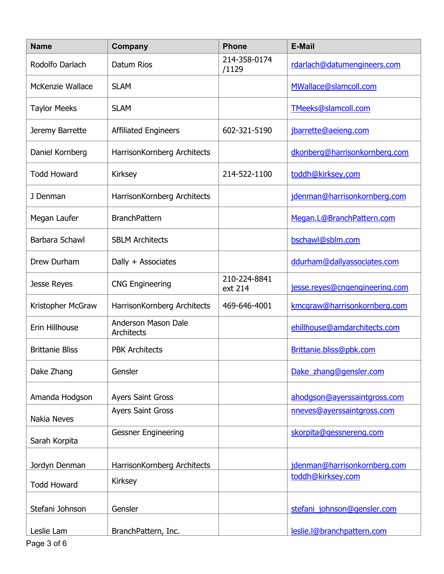| <b>Name</b>            | Company                           | <b>Phone</b>            | <b>E-Mail</b>                  |
|------------------------|-----------------------------------|-------------------------|--------------------------------|
| Rodolfo Darlach        | Datum Rios                        | 214-358-0174<br>/1129   | rdarlach@datumengineers.com    |
| McKenzie Wallace       | <b>SLAM</b>                       |                         | MWallace@slamcoll.com          |
| <b>Taylor Meeks</b>    | <b>SLAM</b>                       |                         | TMeeks@slamcoll.com            |
| Jeremy Barrette        | <b>Affiliated Engineers</b>       | 602-321-5190            | jbarrette@aeieng.com           |
| Daniel Kornberg        | HarrisonKornberg Architects       |                         | dkonberg@harrisonkornberg.com  |
| <b>Todd Howard</b>     | Kirksey                           | 214-522-1100            | toddh@kirksey.com              |
| J Denman               | HarrisonKornberg Architects       |                         | jdenman@harrisonkornberg.com   |
| Megan Laufer           | <b>BranchPattern</b>              |                         | Megan.L@BranchPattern.com      |
| Barbara Schawl         | <b>SBLM Architects</b>            |                         | bschawl@sblm.com               |
| Drew Durham            | Dally + Associates                |                         | ddurham@dallyassociates.com    |
| Jesse Reyes            | <b>CNG Engineering</b>            | 210-224-8841<br>ext 214 | jesse.reyes@cngengineering.com |
| Kristopher McGraw      | HarrisonKornberg Architects       | 469-646-4001            | kmcgraw@harrisonkornberg.com   |
| Erin Hillhouse         | Anderson Mason Dale<br>Architects |                         | ehillhouse@amdarchitects.com   |
| <b>Brittanie Bliss</b> | <b>PBK Architects</b>             |                         | Brittanie.bliss@pbk.com        |
| Dake Zhang             | Gensler                           |                         | Dake_zhang@gensler.com         |
| Amanda Hodgson         | <b>Ayers Saint Gross</b>          |                         | ahodgson@ayerssaintgross.com   |
| Nakia Neves            | <b>Ayers Saint Gross</b>          |                         | nneves@ayerssaintgross.com     |
| Sarah Korpita          | <b>Gessner Engineering</b>        |                         | skorpita@gessnereng.com        |
| Jordyn Denman          | HarrisonKornberg Architects       |                         | jdenman@harrisonkornberg.com   |
| <b>Todd Howard</b>     | Kirksey                           |                         | toddh@kirksey.com              |
| Stefani Johnson        | Gensler                           |                         | stefani johnson@gensler.com    |
| Leslie Lam             | BranchPattern, Inc.               |                         | leslie.l@branchpattern.com     |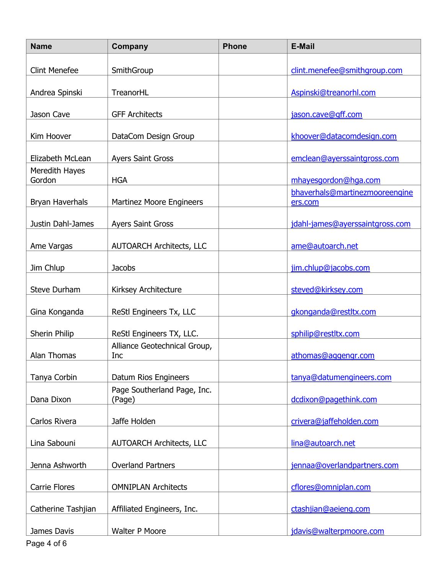| <b>Name</b>              | Company                                                  | <b>Phone</b> | <b>E-Mail</b>                             |
|--------------------------|----------------------------------------------------------|--------------|-------------------------------------------|
| <b>Clint Menefee</b>     | SmithGroup                                               |              | clint.menefee@smithgroup.com              |
|                          |                                                          |              |                                           |
| Andrea Spinski           | <b>TreanorHL</b>                                         |              | Aspinski@treanorhl.com                    |
| Jason Cave               | <b>GFF Architects</b>                                    |              | jason.cave@qff.com                        |
|                          |                                                          |              |                                           |
| Kim Hoover               | DataCom Design Group                                     |              | khoover@datacomdesign.com                 |
| Elizabeth McLean         | <b>Ayers Saint Gross</b>                                 |              | emclean@ayerssaintgross.com               |
| Meredith Hayes<br>Gordon | <b>HGA</b>                                               |              | mhayesgordon@hga.com                      |
| Bryan Haverhals          | Martinez Moore Engineers                                 |              | bhaverhals@martinezmooreengine<br>ers.com |
| Justin Dahl-James        | <b>Ayers Saint Gross</b>                                 |              | jdahl-james@ayerssaintgross.com           |
| Ame Vargas               | <b>AUTOARCH Architects, LLC</b>                          |              | ame@autoarch.net                          |
| Jim Chlup                | <b>Jacobs</b>                                            |              | jim.chlup@jacobs.com                      |
| <b>Steve Durham</b>      | Kirksey Architecture                                     |              | steved@kirksey.com                        |
| Gina Konganda            | ReStl Engineers Tx, LLC                                  |              | gkonganda@restltx.com                     |
|                          |                                                          |              |                                           |
| Sherin Philip            | ReStl Engineers TX, LLC.<br>Alliance Geotechnical Group, |              | sphilip@restltx.com                       |
| Alan Thomas              | Inc                                                      |              | athomas@aggengr.com                       |
| Tanya Corbin             | Datum Rios Engineers                                     |              | tanya@datumengineers.com                  |
| Dana Dixon               | Page Southerland Page, Inc.<br>(Page)                    |              | dcdixon@pagethink.com                     |
| Carlos Rivera            | Jaffe Holden                                             |              | crivera@jaffeholden.com                   |
| Lina Sabouni             | <b>AUTOARCH Architects, LLC</b>                          |              | lina@autoarch.net                         |
| Jenna Ashworth           | <b>Overland Partners</b>                                 |              | jennaa@overlandpartners.com               |
| <b>Carrie Flores</b>     | <b>OMNIPLAN Architects</b>                               |              | cflores@omniplan.com                      |
| Catherine Tashjian       | Affiliated Engineers, Inc.                               |              | ctashjian@aeieng.com                      |
| James Davis              | Walter P Moore                                           |              | jdavis@walterpmoore.com                   |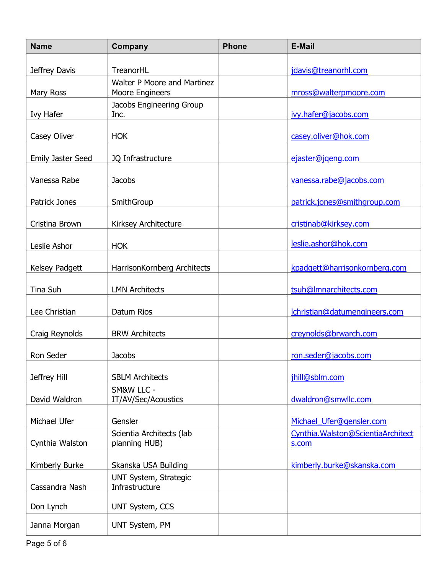| <b>Name</b>              | Company                                        | <b>Phone</b> | <b>E-Mail</b>                              |
|--------------------------|------------------------------------------------|--------------|--------------------------------------------|
| Jeffrey Davis            | TreanorHL                                      |              | jdavis@treanorhl.com                       |
|                          | <b>Walter P Moore and Martinez</b>             |              |                                            |
| Mary Ross                | Moore Engineers                                |              | mross@walterpmoore.com                     |
| <b>Ivy Hafer</b>         | Jacobs Engineering Group<br>Inc.               |              | ivy.hafer@jacobs.com                       |
|                          |                                                |              |                                            |
| Casey Oliver             | <b>HOK</b>                                     |              | casey.oliver@hok.com                       |
| <b>Emily Jaster Seed</b> | JQ Infrastructure                              |              | ejaster@jgeng.com                          |
| Vanessa Rabe             | <b>Jacobs</b>                                  |              | vanessa.rabe@jacobs.com                    |
| Patrick Jones            | SmithGroup                                     |              | patrick.jones@smithgroup.com               |
| Cristina Brown           | Kirksey Architecture                           |              | cristinab@kirksey.com                      |
| Leslie Ashor             | <b>HOK</b>                                     |              | leslie.ashor@hok.com                       |
| Kelsey Padgett           | HarrisonKornberg Architects                    |              | kpadgett@harrisonkornberg.com              |
| Tina Suh                 | <b>LMN Architects</b>                          |              | tsuh@Imnarchitects.com                     |
| Lee Christian            | Datum Rios                                     |              | Ichristian@datumengineers.com              |
| Craig Reynolds           | <b>BRW Architects</b>                          |              | creynolds@brwarch.com                      |
| Ron Seder                | <b>Jacobs</b>                                  |              | ron.seder@jacobs.com                       |
| Jeffrey Hill             | <b>SBLM Architects</b>                         |              | jhill@sblm.com                             |
| David Waldron            | SM&W LLC -<br>IT/AV/Sec/Acoustics              |              | dwaldron@smwllc.com                        |
| Michael Ufer             | Gensler                                        |              | Michael Ufer@gensler.com                   |
| Cynthia Walston          | Scientia Architects (lab<br>planning HUB)      |              | Cynthia.Walston@ScientiaArchitect<br>s.com |
| Kimberly Burke           | Skanska USA Building                           |              | kimberly.burke@skanska.com                 |
| Cassandra Nash           | <b>UNT System, Strategic</b><br>Infrastructure |              |                                            |
| Don Lynch                | <b>UNT System, CCS</b>                         |              |                                            |
| Janna Morgan             | UNT System, PM                                 |              |                                            |